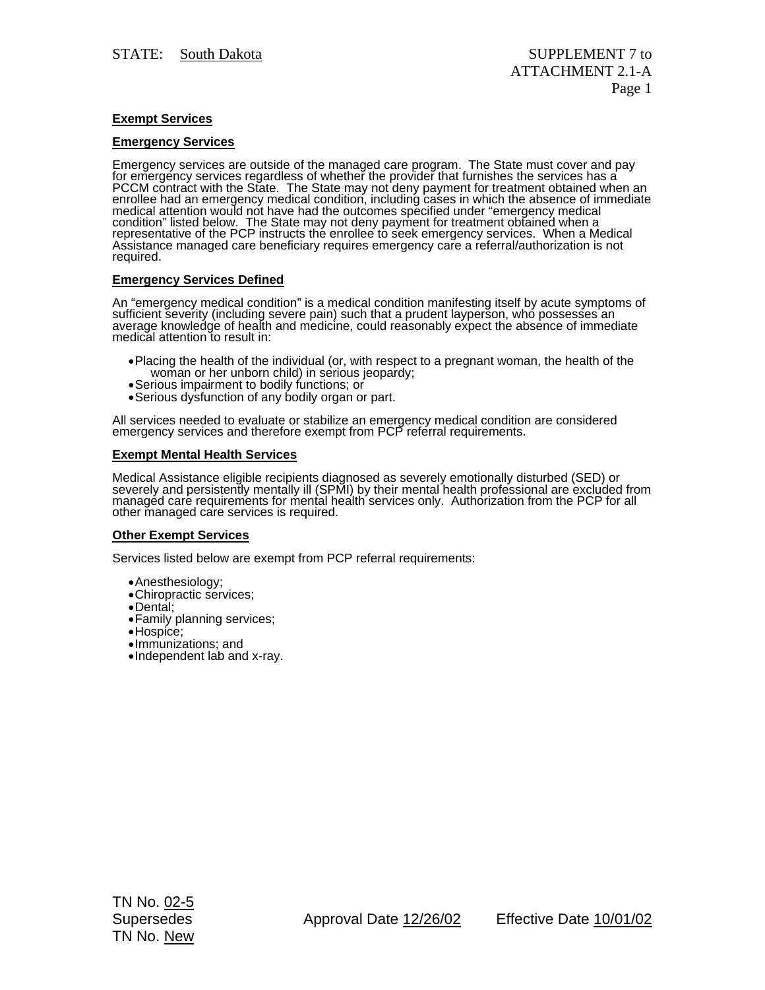# **Exempt Services**

## **Emergency Services**

Emergency services are outside of the managed care program. The State must cover and pay<br>for emergency services regardless of whether the provider that furnishes the services has a<br>PCCM contract with the State. The State m redical attention would not have had the outcomes specified under emergency medical<br>condition" listed below. The State may not deny payment for treatment obtained when a<br>representative of the PCP instructs the enrollee to

### **Emergency Services Defined**

An "emergency medical condition" is a medical condition manifesting itself by acute symptoms of<br>sufficient severity (including severe pain) such that a prudent layperson, who possesses an average knowledge of health and medicine, could reasonably expect the absence of immediate medical attention to result in:

- Placing the health of the individual (or, with respect to a pregnant woman, the health of the woman or her unborn child) in serious jeopardy;<br>• Serious impairment to bodily functions; or
- 
- Serious dysfunction of any bodily organ or part.

All services needed to evaluate or stabilize an emergency medical condition are considered emergency services and therefore exempt from PCP referral requirements.

#### **Exempt Mental Health Services**

Medical Assistance eligible recipients diagnosed as severely emotionally disturbed (SED) or<br>severely and persistently mentally ill (SPMI) by their mental health professional are excluded from<br>managed care requirements for

#### **Other Exempt Services**

Services listed below are exempt from PCP referral requirements:

- Anesthesiology;
- Chiropractic services;
- Dental;
- Family planning services;
- Hospice;
- Immunizations; and
- Independent lab and x-ray.